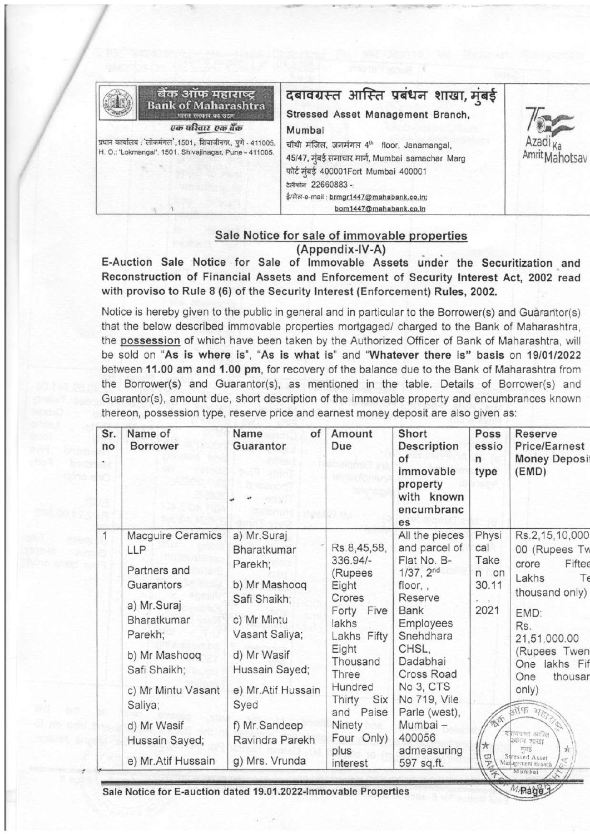|                                                                                                                       | बैंक ऑफ महाराष्ट्र<br><b>Bank of Maharashtra</b><br>भारत सरकार का उद्यम | दबावग्रस्त आस्ति प्रबंधन शाखा, मुंबई<br>Stressed Asset Management Branch,                                                                                               |                                                |
|-----------------------------------------------------------------------------------------------------------------------|-------------------------------------------------------------------------|-------------------------------------------------------------------------------------------------------------------------------------------------------------------------|------------------------------------------------|
|                                                                                                                       | एक परिवार एक बैंक                                                       | Mumbai                                                                                                                                                                  |                                                |
| प्रधान कार्यालय: 'लोकमंगल', 1501, शिवाजीनगर, पुणे - 411005.<br>H. O.: 'Lokmangal', 1501, Shivajinagar, Pune - 411005. |                                                                         | चौथी मंजिल, जनमंगल 4 <sup>th</sup> floor, Janamangal,<br>45/47, मुंबई समाचार मार्ग, Mumbai samachar Marg<br>फोर्ट मुंबई 400001Fort Mumbai 400001<br>टेलीफोन 22660883 -: | Azad <sub>k<sub>2</sub></sub><br>AmritMahotsav |
|                                                                                                                       |                                                                         | ई/मेल-e-mail: brmgr1447@mahabank.co.in;<br>bom1447@mahabank.co.in                                                                                                       |                                                |

## Sale Notice for sale of immovable properties (Appendix-IV-A)

E-Auction Sale Notice for Sale ot lmmovable Assets under the Securitization and Reconstruction of Financial Assets and Enforcement of Security lnterest Act, 2002 read with proviso to Rule 8 (6) of the Security Interest (Enforcement) Rules, 2002.

Notice is hereby given to the public in general and in particular to the Borrower(s) and Guarantor(s) that the below described immovable properties mortgaged/ charged to the Bank of Maharashtra, the possession of which have been taken by the Authorized Officer of Bank of Maharashtra, will be sold on "As is where is", "As is what is" and "Whatever there is" basis on 19/01/2022 between 11.00 am and 1.00 pm, for recovery of the balance due to the Bank of Maharashtra from the Borrower(s) and Guarantor(s), as mentioned in the table. Details of Borrower(s) and Guarantor(s), amount due, short description of the immovable property and encumbrances known thereon, possession type, reserve price and earnest money deposit are also given as:

| Sr.<br>no | Name of<br><b>Borrower</b>    | Name<br>of<br>Guarantor       | Amount<br>Due                                                                 | Short<br>Description<br>of<br>immovable<br>property<br>with known<br>encumbranc<br>es    | Poss<br>essio<br>$\mathsf{n}$<br>type        | Reserve<br><b>Price/Earnest</b><br><b>Money Deposi</b><br>(EMD)                       |
|-----------|-------------------------------|-------------------------------|-------------------------------------------------------------------------------|------------------------------------------------------------------------------------------|----------------------------------------------|---------------------------------------------------------------------------------------|
| 1         | Macguire Ceramics             | a) Mr.Suraj                   |                                                                               | All the pieces                                                                           | Physi                                        | Rs.2,15,10,000                                                                        |
|           | LLP                           | Bharatkumar                   | Rs.8,45,58,                                                                   | and parcel of                                                                            | cal                                          | 00 (Rupees Tw                                                                         |
|           | Partners and                  | Parekh;                       | 336.94/-<br>(Rupees<br>Eight                                                  | Flat No. B-<br>1/37, 2 <sup>nd</sup><br>floor,,                                          | Take<br>n on<br>30.11                        | Fiftee<br>crore                                                                       |
|           | Guarantors                    | b) Mr Mashooq                 |                                                                               |                                                                                          |                                              | Lakhs<br>Tε                                                                           |
|           | a) Mr.Suraj                   | Safi Shaikh;                  | Crores                                                                        | Reserve                                                                                  |                                              | thousand only)                                                                        |
|           | Bharatkumar                   | c) Mr Mintu                   | Forty Five                                                                    | <b>Bank</b>                                                                              | 2021                                         | EMD:                                                                                  |
|           | Parekh;                       | Vasant Saliya;                | lakhs<br>Lakhs Fifty                                                          | Employees<br>Snehdhara                                                                   |                                              | Rs.                                                                                   |
|           | b) Mr Mashooq<br>Safi Shaikh; | d) Mr Wasif<br>Hussain Sayed; | Eight<br>Thousand<br>Three<br>Hundred<br>Thirty<br>Six<br>and Paise<br>Ninety | CHSL,<br>Dadabhai<br>Cross Road<br>No 3, CTS<br>No 719, Vile<br>Parle (west),<br>Mumbai- |                                              | 21,51,000.00<br>(Rupees Twen<br>One lakhs Fif<br>thousar<br>One<br>only)<br>ATTE 7700 |
|           | c) Mr Mintu Vasant<br>Saliya; | e) Mr.Atif Hussain<br>Syed    |                                                                               |                                                                                          |                                              |                                                                                       |
|           | d) Mr Wasif                   | f) Mr.Sandeep                 |                                                                               |                                                                                          | 会会                                           |                                                                                       |
|           | Hussain Sayed;                | Ravindra Parekh               | Four Only)                                                                    | 400056                                                                                   |                                              | रायग्रस्त आस्ति<br>प्रबंधन भारता                                                      |
|           | e) Mr.Atif Hussain            | g) Mrs. Vrunda                | plus<br>interest                                                              | admeasuring<br>597 sq.ft.                                                                | ★<br>ω<br>$\overline{\mathcal{S}}$<br>$\tau$ | $\frac{1}{2C}$<br>巧可言<br>Stressed Asset<br>Maragement Branch<br>Munibai               |

Sale Notice for E-auction dated 19.01.2022-lmmovable Properties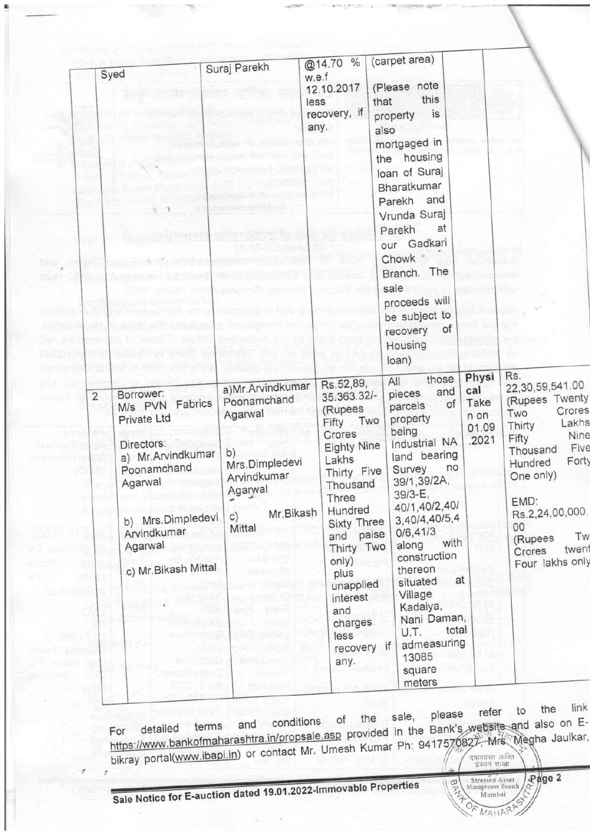|                | Syed                                                                                           | Suraj Parekh                                                       | @14.70 %                                                                                                                                                                                 | (carpet area)                                                                                                                                                                                                                       |                                                            |                                                                                                                                                   |
|----------------|------------------------------------------------------------------------------------------------|--------------------------------------------------------------------|------------------------------------------------------------------------------------------------------------------------------------------------------------------------------------------|-------------------------------------------------------------------------------------------------------------------------------------------------------------------------------------------------------------------------------------|------------------------------------------------------------|---------------------------------------------------------------------------------------------------------------------------------------------------|
|                |                                                                                                |                                                                    | w.e.f<br>12.10.2017<br>less<br>recovery, if<br>any.                                                                                                                                      | (Please note<br>this<br>that<br>is<br>property<br>also<br>mortgaged in<br>the housing<br>loan of Suraj<br>Bharatkumar<br>Parekh and<br>Vrunda Suraj<br>at<br>Parekh<br>our Gadkari<br>Chowk<br>Branch. The<br>sale<br>proceeds will |                                                            |                                                                                                                                                   |
| $\overline{2}$ | Borrower:<br>M/s PVN Fabrics<br>Private Ltd<br>Directors:<br>a) Mr. Arvindkumar<br>Poonamchand | a)Mr.Arvindkumar<br>Poonamchand<br>Agarwal<br>b)<br>Mrs.Dimpledevi | Rs.52,89,<br>35.363.32/-<br>(Rupees<br>Fifty<br>Crores<br><b>Eighty Nine</b><br>Lakhs                                                                                                    | be subject to<br>of<br>recovery<br>Housing<br>loan)<br>those<br>All<br>and<br>pieces<br>parcels<br>property<br>Two<br>being<br>Industrial NA<br>land bearing<br>Survey                                                              | Physi<br>cal<br>Take<br>of<br>n on<br>01.09<br>.2021<br>no | Rs.<br>22,30,59,541.00<br>(Rupees Twenty<br>Crores<br>Two<br>Lakhs<br>Thirty<br>Nine<br>Fifty<br>Five<br>Thousand<br>Fort <sub>)</sub><br>Hundred |
|                | Agarwal<br>b) Mrs.Dimpledevi<br>Arvindkumar<br>Agarwal<br>c) Mr. Bikash Mittal                 | Arvindkumar<br>Agarwal<br>Mr.Bikash<br>c)<br>Mittal                | Thirty Five<br>Thousand<br>Three<br>Hundred<br><b>Sixty Three</b><br>and paise<br>Thirty Two<br>only)<br>plus<br>unapplied<br>interest<br>and<br>charges.<br>less<br>recovery if<br>any. | 39/1,39/2A,<br>39/3-E,<br>40/1,40/2,40/<br>3,40/4,40/5,4<br>0/6,41/3<br>along<br>construction<br>thereon<br>situated<br>Village<br>Kadaiya,<br>Nani Daman,<br>U.T.<br>admeasuring<br>13085<br>square<br>meters                      | with<br>at<br>total                                        | One only)<br>EMD:<br>Rs.2,24,00,000.<br>00<br>Tw<br>(Rupees<br>twent<br>Crores<br>Four lakhs only                                                 |

sale, please refer to in the Bank Phi 9417 the link also on Eha Jaulkar, For detailed terms and conditions of the sale, please reter to the link<br>https://www.bankofmaharashtra.in/propsale.asp provided in the Bank's website and also on E-<br>bikray portal(www.ibapi.in) or contact Mr. Umesh Kumar Ph: d

Sale Notice for E-auction dated 19.01.2022-Immovable Properties

y

Page 2 **BRANCH** Stressed Asset<br>Management Branch Mumbai Mumbar<br>OF MAHARA